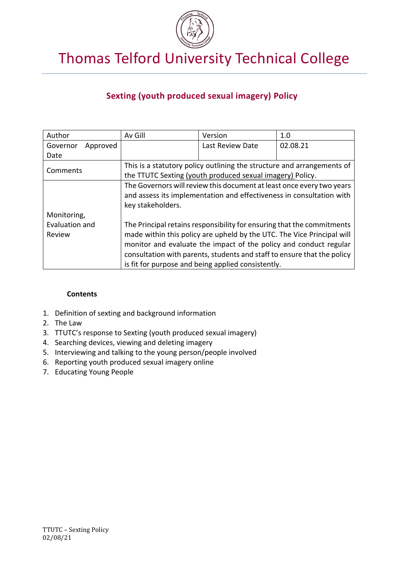

Thomas Telford University Technical College

# **Sexting (youth produced sexual imagery) Policy**

| Author               | Av Gill                                                                 | Version          | 1.0                                                                   |  |
|----------------------|-------------------------------------------------------------------------|------------------|-----------------------------------------------------------------------|--|
| Governor<br>Approved |                                                                         | Last Review Date | 02.08.21                                                              |  |
| Date                 |                                                                         |                  |                                                                       |  |
| Comments             | This is a statutory policy outlining the structure and arrangements of  |                  |                                                                       |  |
|                      | the TTUTC Sexting (youth produced sexual imagery) Policy.               |                  |                                                                       |  |
|                      |                                                                         |                  | The Governors will review this document at least once every two years |  |
|                      | and assess its implementation and effectiveness in consultation with    |                  |                                                                       |  |
|                      | key stakeholders.                                                       |                  |                                                                       |  |
| Monitoring,          |                                                                         |                  |                                                                       |  |
| Evaluation and       | The Principal retains responsibility for ensuring that the commitments  |                  |                                                                       |  |
| Review               | made within this policy are upheld by the UTC. The Vice Principal will  |                  |                                                                       |  |
|                      | monitor and evaluate the impact of the policy and conduct regular       |                  |                                                                       |  |
|                      | consultation with parents, students and staff to ensure that the policy |                  |                                                                       |  |
|                      | is fit for purpose and being applied consistently.                      |                  |                                                                       |  |

## **Contents**

- 1. Definition of sexting and background information
- 2. The Law
- 3. TTUTC's response to Sexting (youth produced sexual imagery)
- 4. Searching devices, viewing and deleting imagery
- 5. Interviewing and talking to the young person/people involved
- 6. Reporting youth produced sexual imagery online
- 7. Educating Young People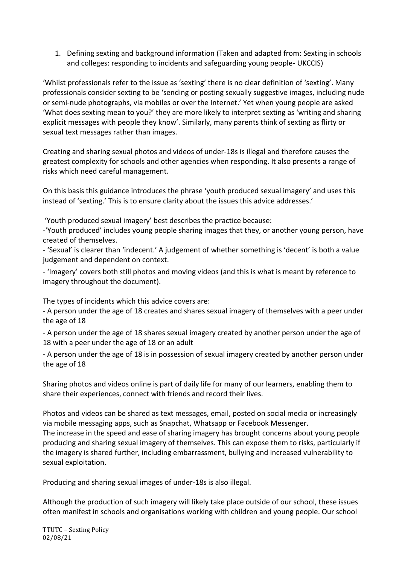1. Defining sexting and background information (Taken and adapted from: Sexting in schools and colleges: responding to incidents and safeguarding young people- UKCCIS)

'Whilst professionals refer to the issue as 'sexting' there is no clear definition of 'sexting'. Many professionals consider sexting to be 'sending or posting sexually suggestive images, including nude or semi-nude photographs, via mobiles or over the Internet.' Yet when young people are asked 'What does sexting mean to you?' they are more likely to interpret sexting as 'writing and sharing explicit messages with people they know'. Similarly, many parents think of sexting as flirty or sexual text messages rather than images.

Creating and sharing sexual photos and videos of under-18s is illegal and therefore causes the greatest complexity for schools and other agencies when responding. It also presents a range of risks which need careful management.

On this basis this guidance introduces the phrase 'youth produced sexual imagery' and uses this instead of 'sexting.' This is to ensure clarity about the issues this advice addresses.'

'Youth produced sexual imagery' best describes the practice because:

-'Youth produced' includes young people sharing images that they, or another young person, have created of themselves.

- 'Sexual' is clearer than 'indecent.' A judgement of whether something is 'decent' is both a value judgement and dependent on context.

- 'Imagery' covers both still photos and moving videos (and this is what is meant by reference to imagery throughout the document).

The types of incidents which this advice covers are:

- A person under the age of 18 creates and shares sexual imagery of themselves with a peer under the age of 18

- A person under the age of 18 shares sexual imagery created by another person under the age of 18 with a peer under the age of 18 or an adult

- A person under the age of 18 is in possession of sexual imagery created by another person under the age of 18

Sharing photos and videos online is part of daily life for many of our learners, enabling them to share their experiences, connect with friends and record their lives.

Photos and videos can be shared as text messages, email, posted on social media or increasingly via mobile messaging apps, such as Snapchat, Whatsapp or Facebook Messenger. The increase in the speed and ease of sharing imagery has brought concerns about young people producing and sharing sexual imagery of themselves. This can expose them to risks, particularly if the imagery is shared further, including embarrassment, bullying and increased vulnerability to sexual exploitation.

Producing and sharing sexual images of under-18s is also illegal.

Although the production of such imagery will likely take place outside of our school, these issues often manifest in schools and organisations working with children and young people. Our school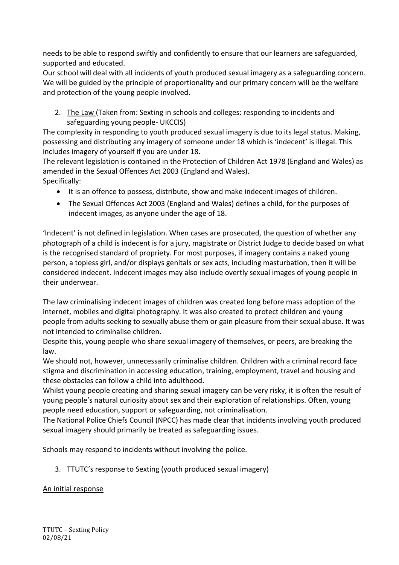needs to be able to respond swiftly and confidently to ensure that our learners are safeguarded, supported and educated.

Our school will deal with all incidents of youth produced sexual imagery as a safeguarding concern. We will be guided by the principle of proportionality and our primary concern will be the welfare and protection of the young people involved.

2. The Law (Taken from: Sexting in schools and colleges: responding to incidents and safeguarding young people- UKCCIS)

The complexity in responding to youth produced sexual imagery is due to its legal status. Making, possessing and distributing any imagery of someone under 18 which is 'indecent' is illegal. This includes imagery of yourself if you are under 18.

The relevant legislation is contained in the Protection of Children Act 1978 (England and Wales) as amended in the Sexual Offences Act 2003 (England and Wales). Specifically:

- It is an offence to possess, distribute, show and make indecent images of children.
- The Sexual Offences Act 2003 (England and Wales) defines a child, for the purposes of indecent images, as anyone under the age of 18.

'Indecent' is not defined in legislation. When cases are prosecuted, the question of whether any photograph of a child is indecent is for a jury, magistrate or District Judge to decide based on what is the recognised standard of propriety. For most purposes, if imagery contains a naked young person, a topless girl, and/or displays genitals or sex acts, including masturbation, then it will be considered indecent. Indecent images may also include overtly sexual images of young people in their underwear.

The law criminalising indecent images of children was created long before mass adoption of the internet, mobiles and digital photography. It was also created to protect children and young people from adults seeking to sexually abuse them or gain pleasure from their sexual abuse. It was not intended to criminalise children.

Despite this, young people who share sexual imagery of themselves, or peers, are breaking the law.

We should not, however, unnecessarily criminalise children. Children with a criminal record face stigma and discrimination in accessing education, training, employment, travel and housing and these obstacles can follow a child into adulthood.

Whilst young people creating and sharing sexual imagery can be very risky, it is often the result of young people's natural curiosity about sex and their exploration of relationships. Often, young people need education, support or safeguarding, not criminalisation.

The National Police Chiefs Council (NPCC) has made clear that incidents involving youth produced sexual imagery should primarily be treated as safeguarding issues.

Schools may respond to incidents without involving the police.

# 3. TTUTC's response to Sexting (youth produced sexual imagery)

# An initial response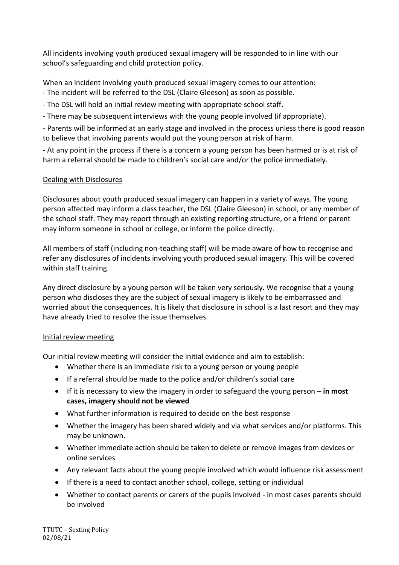All incidents involving youth produced sexual imagery will be responded to in line with our school's safeguarding and child protection policy.

When an incident involving youth produced sexual imagery comes to our attention:

- The incident will be referred to the DSL (Claire Gleeson) as soon as possible.
- The DSL will hold an initial review meeting with appropriate school staff.

- There may be subsequent interviews with the young people involved (if appropriate).

- Parents will be informed at an early stage and involved in the process unless there is good reason to believe that involving parents would put the young person at risk of harm.

- At any point in the process if there is a concern a young person has been harmed or is at risk of harm a referral should be made to children's social care and/or the police immediately.

# Dealing with Disclosures

Disclosures about youth produced sexual imagery can happen in a variety of ways. The young person affected may inform a class teacher, the DSL (Claire Gleeson) in school, or any member of the school staff. They may report through an existing reporting structure, or a friend or parent may inform someone in school or college, or inform the police directly.

All members of staff (including non-teaching staff) will be made aware of how to recognise and refer any disclosures of incidents involving youth produced sexual imagery. This will be covered within staff training.

Any direct disclosure by a young person will be taken very seriously. We recognise that a young person who discloses they are the subject of sexual imagery is likely to be embarrassed and worried about the consequences. It is likely that disclosure in school is a last resort and they may have already tried to resolve the issue themselves.

## Initial review meeting

Our initial review meeting will consider the initial evidence and aim to establish:

- Whether there is an immediate risk to a young person or young people
- If a referral should be made to the police and/or children's social care
- If it is necessary to view the imagery in order to safeguard the young person **in most cases, imagery should not be viewed**
- What further information is required to decide on the best response
- Whether the imagery has been shared widely and via what services and/or platforms. This may be unknown.
- Whether immediate action should be taken to delete or remove images from devices or online services
- Any relevant facts about the young people involved which would influence risk assessment
- If there is a need to contact another school, college, setting or individual
- Whether to contact parents or carers of the pupils involved in most cases parents should be involved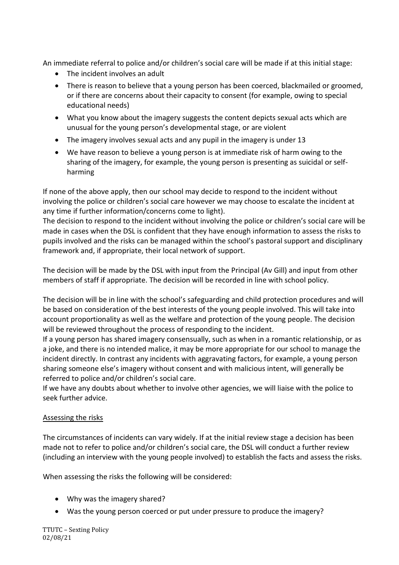An immediate referral to police and/or children's social care will be made if at this initial stage:

- The incident involves an adult
- There is reason to believe that a young person has been coerced, blackmailed or groomed, or if there are concerns about their capacity to consent (for example, owing to special educational needs)
- What you know about the imagery suggests the content depicts sexual acts which are unusual for the young person's developmental stage, or are violent
- The imagery involves sexual acts and any pupil in the imagery is under 13
- We have reason to believe a young person is at immediate risk of harm owing to the sharing of the imagery, for example, the young person is presenting as suicidal or selfharming

If none of the above apply, then our school may decide to respond to the incident without involving the police or children's social care however we may choose to escalate the incident at any time if further information/concerns come to light).

The decision to respond to the incident without involving the police or children's social care will be made in cases when the DSL is confident that they have enough information to assess the risks to pupils involved and the risks can be managed within the school's pastoral support and disciplinary framework and, if appropriate, their local network of support.

The decision will be made by the DSL with input from the Principal (Av Gill) and input from other members of staff if appropriate. The decision will be recorded in line with school policy.

The decision will be in line with the school's safeguarding and child protection procedures and will be based on consideration of the best interests of the young people involved. This will take into account proportionality as well as the welfare and protection of the young people. The decision will be reviewed throughout the process of responding to the incident.

If a young person has shared imagery consensually, such as when in a romantic relationship, or as a joke, and there is no intended malice, it may be more appropriate for our school to manage the incident directly. In contrast any incidents with aggravating factors, for example, a young person sharing someone else's imagery without consent and with malicious intent, will generally be referred to police and/or children's social care.

If we have any doubts about whether to involve other agencies, we will liaise with the police to seek further advice.

## Assessing the risks

The circumstances of incidents can vary widely. If at the initial review stage a decision has been made not to refer to police and/or children's social care, the DSL will conduct a further review (including an interview with the young people involved) to establish the facts and assess the risks.

When assessing the risks the following will be considered:

- Why was the imagery shared?
- Was the young person coerced or put under pressure to produce the imagery?

TTUTC – Sexting Policy 02/08/21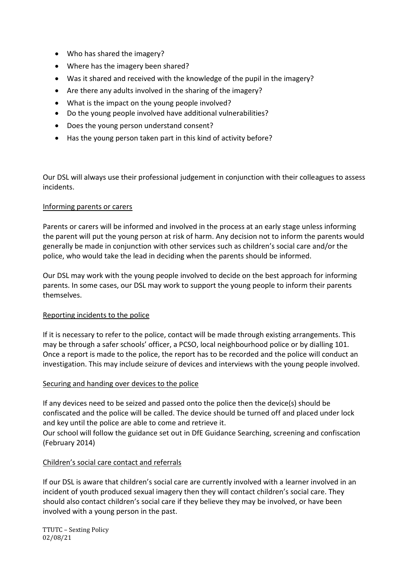- Who has shared the imagery?
- Where has the imagery been shared?
- Was it shared and received with the knowledge of the pupil in the imagery?
- Are there any adults involved in the sharing of the imagery?
- What is the impact on the young people involved?
- Do the young people involved have additional vulnerabilities?
- Does the young person understand consent?
- Has the young person taken part in this kind of activity before?

Our DSL will always use their professional judgement in conjunction with their colleagues to assess incidents.

#### Informing parents or carers

Parents or carers will be informed and involved in the process at an early stage unless informing the parent will put the young person at risk of harm. Any decision not to inform the parents would generally be made in conjunction with other services such as children's social care and/or the police, who would take the lead in deciding when the parents should be informed.

Our DSL may work with the young people involved to decide on the best approach for informing parents. In some cases, our DSL may work to support the young people to inform their parents themselves.

## Reporting incidents to the police

If it is necessary to refer to the police, contact will be made through existing arrangements. This may be through a safer schools' officer, a PCSO, local neighbourhood police or by dialling 101. Once a report is made to the police, the report has to be recorded and the police will conduct an investigation. This may include seizure of devices and interviews with the young people involved.

#### Securing and handing over devices to the police

If any devices need to be seized and passed onto the police then the device(s) should be confiscated and the police will be called. The device should be turned off and placed under lock and key until the police are able to come and retrieve it.

Our school will follow the guidance set out in DfE Guidance Searching, screening and confiscation (February 2014)

## Children's social care contact and referrals

If our DSL is aware that children's social care are currently involved with a learner involved in an incident of youth produced sexual imagery then they will contact children's social care. They should also contact children's social care if they believe they may be involved, or have been involved with a young person in the past.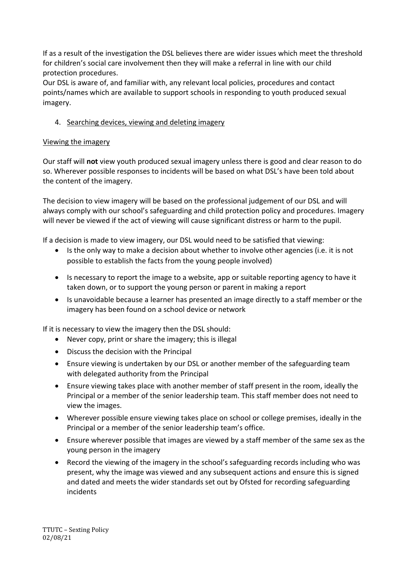If as a result of the investigation the DSL believes there are wider issues which meet the threshold for children's social care involvement then they will make a referral in line with our child protection procedures.

Our DSL is aware of, and familiar with, any relevant local policies, procedures and contact points/names which are available to support schools in responding to youth produced sexual imagery.

# 4. Searching devices, viewing and deleting imagery

#### Viewing the imagery

Our staff will **not** view youth produced sexual imagery unless there is good and clear reason to do so. Wherever possible responses to incidents will be based on what DSL's have been told about the content of the imagery.

The decision to view imagery will be based on the professional judgement of our DSL and will always comply with our school's safeguarding and child protection policy and procedures. Imagery will never be viewed if the act of viewing will cause significant distress or harm to the pupil.

If a decision is made to view imagery, our DSL would need to be satisfied that viewing:

- Is the only way to make a decision about whether to involve other agencies (i.e. it is not possible to establish the facts from the young people involved)
- Is necessary to report the image to a website, app or suitable reporting agency to have it taken down, or to support the young person or parent in making a report
- Is unavoidable because a learner has presented an image directly to a staff member or the imagery has been found on a school device or network

If it is necessary to view the imagery then the DSL should:

- Never copy, print or share the imagery; this is illegal
- Discuss the decision with the Principal
- Ensure viewing is undertaken by our DSL or another member of the safeguarding team with delegated authority from the Principal
- Ensure viewing takes place with another member of staff present in the room, ideally the Principal or a member of the senior leadership team. This staff member does not need to view the images.
- Wherever possible ensure viewing takes place on school or college premises, ideally in the Principal or a member of the senior leadership team's office.
- Ensure wherever possible that images are viewed by a staff member of the same sex as the young person in the imagery
- Record the viewing of the imagery in the school's safeguarding records including who was present, why the image was viewed and any subsequent actions and ensure this is signed and dated and meets the wider standards set out by Ofsted for recording safeguarding incidents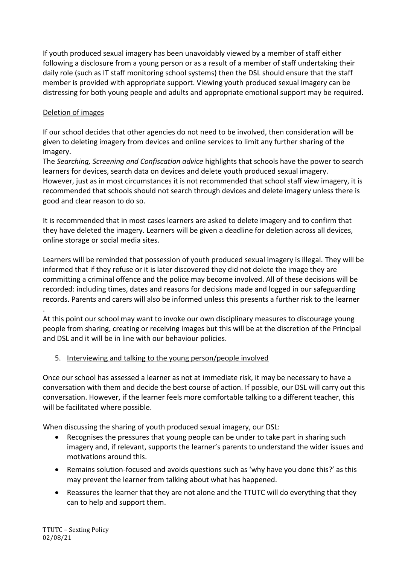If youth produced sexual imagery has been unavoidably viewed by a member of staff either following a disclosure from a young person or as a result of a member of staff undertaking their daily role (such as IT staff monitoring school systems) then the DSL should ensure that the staff member is provided with appropriate support. Viewing youth produced sexual imagery can be distressing for both young people and adults and appropriate emotional support may be required.

# Deletion of images

If our school decides that other agencies do not need to be involved, then consideration will be given to deleting imagery from devices and online services to limit any further sharing of the imagery.

The *Searching, Screening and Confiscation advice* highlights that schools have the power to search learners for devices, search data on devices and delete youth produced sexual imagery. However, just as in most circumstances it is not recommended that school staff view imagery, it is recommended that schools should not search through devices and delete imagery unless there is good and clear reason to do so.

It is recommended that in most cases learners are asked to delete imagery and to confirm that they have deleted the imagery. Learners will be given a deadline for deletion across all devices, online storage or social media sites.

Learners will be reminded that possession of youth produced sexual imagery is illegal. They will be informed that if they refuse or it is later discovered they did not delete the image they are committing a criminal offence and the police may become involved. All of these decisions will be recorded: including times, dates and reasons for decisions made and logged in our safeguarding records. Parents and carers will also be informed unless this presents a further risk to the learner

. At this point our school may want to invoke our own disciplinary measures to discourage young people from sharing, creating or receiving images but this will be at the discretion of the Principal and DSL and it will be in line with our behaviour policies.

## 5. Interviewing and talking to the young person/people involved

Once our school has assessed a learner as not at immediate risk, it may be necessary to have a conversation with them and decide the best course of action. If possible, our DSL will carry out this conversation. However, if the learner feels more comfortable talking to a different teacher, this will be facilitated where possible.

When discussing the sharing of youth produced sexual imagery, our DSL:

- Recognises the pressures that young people can be under to take part in sharing such imagery and, if relevant, supports the learner's parents to understand the wider issues and motivations around this.
- Remains solution-focused and avoids questions such as 'why have you done this?' as this may prevent the learner from talking about what has happened.
- Reassures the learner that they are not alone and the TTUTC will do everything that they can to help and support them.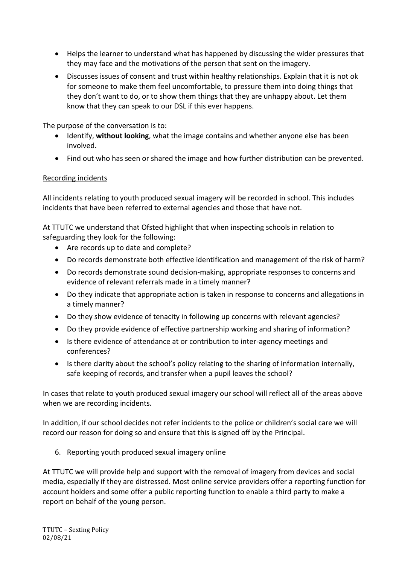- Helps the learner to understand what has happened by discussing the wider pressures that they may face and the motivations of the person that sent on the imagery.
- Discusses issues of consent and trust within healthy relationships. Explain that it is not ok for someone to make them feel uncomfortable, to pressure them into doing things that they don't want to do, or to show them things that they are unhappy about. Let them know that they can speak to our DSL if this ever happens.

The purpose of the conversation is to:

- Identify, **without looking**, what the image contains and whether anyone else has been involved.
- Find out who has seen or shared the image and how further distribution can be prevented.

#### Recording incidents

All incidents relating to youth produced sexual imagery will be recorded in school. This includes incidents that have been referred to external agencies and those that have not.

At TTUTC we understand that Ofsted highlight that when inspecting schools in relation to safeguarding they look for the following:

- Are records up to date and complete?
- Do records demonstrate both effective identification and management of the risk of harm?
- Do records demonstrate sound decision-making, appropriate responses to concerns and evidence of relevant referrals made in a timely manner?
- Do they indicate that appropriate action is taken in response to concerns and allegations in a timely manner?
- Do they show evidence of tenacity in following up concerns with relevant agencies?
- Do they provide evidence of effective partnership working and sharing of information?
- Is there evidence of attendance at or contribution to inter-agency meetings and conferences?
- Is there clarity about the school's policy relating to the sharing of information internally, safe keeping of records, and transfer when a pupil leaves the school?

In cases that relate to youth produced sexual imagery our school will reflect all of the areas above when we are recording incidents.

In addition, if our school decides not refer incidents to the police or children's social care we will record our reason for doing so and ensure that this is signed off by the Principal.

#### 6. Reporting youth produced sexual imagery online

At TTUTC we will provide help and support with the removal of imagery from devices and social media, especially if they are distressed. Most online service providers offer a reporting function for account holders and some offer a public reporting function to enable a third party to make a report on behalf of the young person.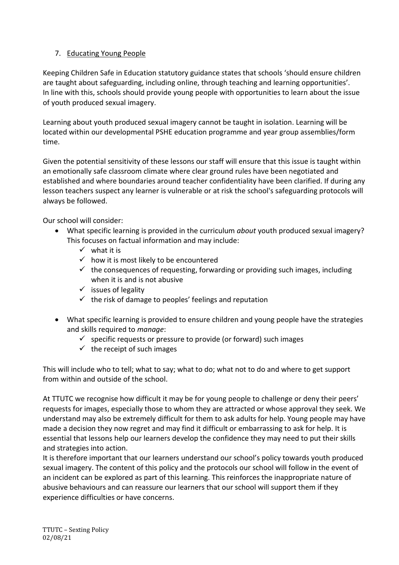# 7. Educating Young People

Keeping Children Safe in Education statutory guidance states that schools 'should ensure children are taught about safeguarding, including online, through teaching and learning opportunities'. In line with this, schools should provide young people with opportunities to learn about the issue of youth produced sexual imagery.

Learning about youth produced sexual imagery cannot be taught in isolation. Learning will be located within our developmental PSHE education programme and year group assemblies/form time.

Given the potential sensitivity of these lessons our staff will ensure that this issue is taught within an emotionally safe classroom climate where clear ground rules have been negotiated and established and where boundaries around teacher confidentiality have been clarified. If during any lesson teachers suspect any learner is vulnerable or at risk the school's safeguarding protocols will always be followed.

Our school will consider:

- What specific learning is provided in the curriculum *about* youth produced sexual imagery? This focuses on factual information and may include:
	- $\checkmark$  what it is
	- $\checkmark$  how it is most likely to be encountered
	- $\checkmark$  the consequences of requesting, forwarding or providing such images, including when it is and is not abusive
	- $\checkmark$  issues of legality
	- $\checkmark$  the risk of damage to peoples' feelings and reputation
- What specific learning is provided to ensure children and young people have the strategies and skills required to *manage*:
	- $\checkmark$  specific requests or pressure to provide (or forward) such images
	- $\checkmark$  the receipt of such images

This will include who to tell; what to say; what to do; what not to do and where to get support from within and outside of the school.

At TTUTC we recognise how difficult it may be for young people to challenge or deny their peers' requests for images, especially those to whom they are attracted or whose approval they seek. We understand may also be extremely difficult for them to ask adults for help. Young people may have made a decision they now regret and may find it difficult or embarrassing to ask for help. It is essential that lessons help our learners develop the confidence they may need to put their skills and strategies into action.

It is therefore important that our learners understand our school's policy towards youth produced sexual imagery. The content of this policy and the protocols our school will follow in the event of an incident can be explored as part of this learning. This reinforces the inappropriate nature of abusive behaviours and can reassure our learners that our school will support them if they experience difficulties or have concerns.